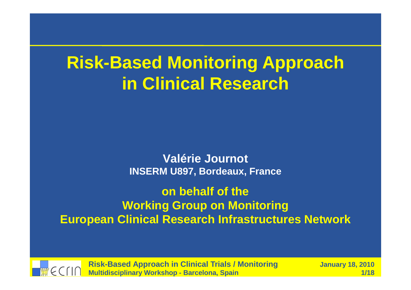## **Risk-Based Monitoring Approachin Clinical Research**

**Valérie JournotINSERM U897, Bordeaux, France**

**on behalf of the Working Group on MonitoringEuropean Clinical Research Infrastructures Network**

**Risk-Based Approach in Clinical Trials / MonitoringMultidisciplinary Workshop - Barcelona, Spain**

 **January 18, 2010** <mark>n 1/18</mark>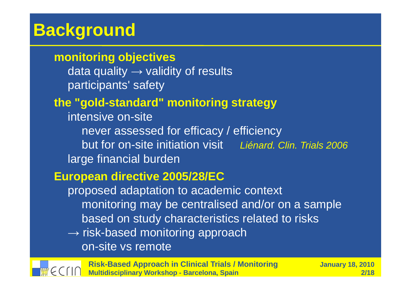## **Background**

### **monitoring objectives**

data quality  $\rightarrow$  validity of results participants' safety

## **the "gold-standard" monitoring strategy**

intensive on-site never assessed for efficacy / efficiencybut for on-site initiation visit bu*iénard. Clin. Trials 2006* large financial burden

### **European directive 2005/28/EC**

proposed adaptation to academic context monitoring may be centralised and/or on a samplebased on study characteristics related to risks

 $\rightarrow$  risk-based monitoring approach on-site vs remote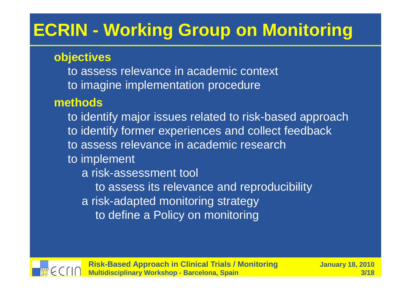# **ECRIN - Working Group on Monitoring**

### **objectives**

 to assess relevance in academic contextto imagine implementation procedure

## **methods**

 to identify major issues related to risk-based approachto identify former experiences and collect feedbackto assess relevance in academic researchto implementa risk-assessment toolto assess its relevance and reproducibilitya risk-adapted monitoring strategyto define a Policy on monitoring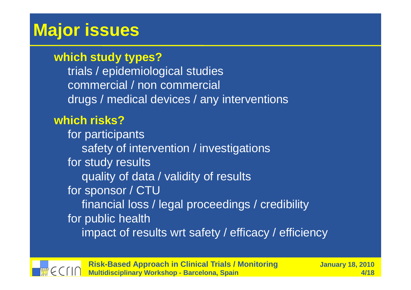## **Major issues**

### **which study types?**

 trials / epidemiological studies commercial / non commercialdrugs / medical devices / any interventions

## **which risks?**

 for participants safety of intervention / investigationsfor study results quality of data / validity of resultsfor sponsor / CTU financial loss / legal proceedings / credibilityfor public healthimpact of results wrt safety / efficacy / efficiency

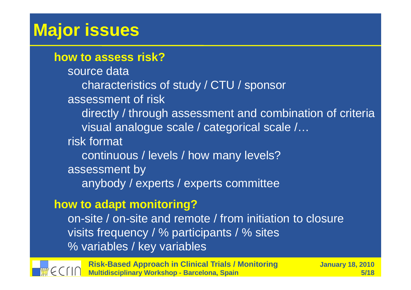## **Major issues**

### **how to assess risk?**

source data characteristics of study / CTU / sponsorassessment of risk directly / through assessment and combination of criteria visual analogue scale / categorical scale /…risk formatcontinuous / levels / how many levels?assessment byanybody / experts / experts committee

### **how to adapt monitoring?**

 on-site / on-site and remote / from initiation to closurevisits frequency / % participants / % sites% variables / key variables



**Risk-Based Approach in Clinical Trials / MonitoringMultidisciplinary Workshop - Barcelona, Spain**

 **January 18, 2010 5/18**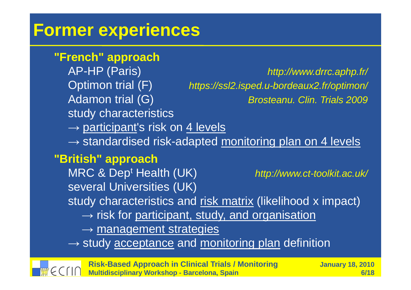## **Former experiences**

### **"French" approach**

AP-HP (Paris)Optimon trial (F) Adamon trial (G)study characteristics

 http://www.drrc.aphp.fr/ https://ssl2.isped.u-bordeaux2.fr/optimon/ Brosteanu. Clin. Trials 2009

→ <u>participant</u>'s risk on <u>4 levels</u><br>→ standardised risk-adanted r

→ standardised risk-adapted <u>monitoring plan on 4 levels</u><br>"itisk" servessek

### **"British" approach**

 MRC & Dept Health (UK)several Universities (UK)

http://www.ct-toolkit.ac.uk/

study characteristics and <u>risk matrix</u> (likelihood x impact)

→ risk for <u>participant, study, and organisation</u><br>→ management strategies

 $\rightarrow$  management strategies

 $\rightarrow$  study <u>acceptance</u> and <u>monitoring plan</u> definition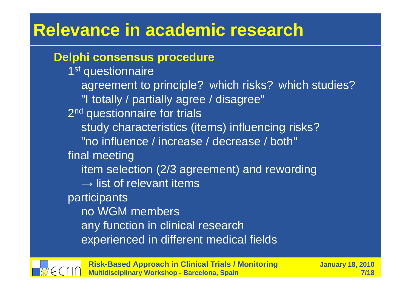## **Relevance in academic research**

### **Delphi consensus procedure**

1<sup>st</sup> questionnaire agreement to principle? which risks? which studies?"I totally / partially agree / disagree"2<sup>nd</sup> questionnaire for trials study characteristics (items) influencing risks?"no influence / increase / decrease / both" final meeting item selection (2/3 agreement) and rewording $\rightarrow$  list of relevant items participants no WGM members any function in clinical researchexperienced in different medical fields

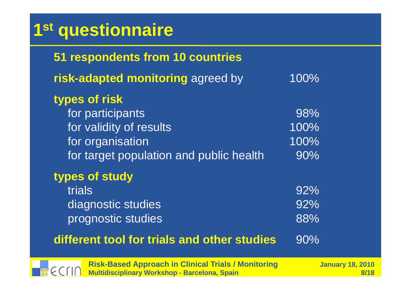# **1st questionnaire**

| 51 respondents from 10 countries                                                 |                     |
|----------------------------------------------------------------------------------|---------------------|
| risk-adapted monitoring agreed by                                                | 100%                |
| types of risk<br>for participants<br>for validity of results<br>for organisation | 98%<br>100%<br>100% |
| for target population and public health                                          | 90%                 |
| types of study<br>trials<br>diagnostic studies<br>prognostic studies             | 92%<br>92%<br>88%   |
| different tool for trials and other studies                                      | 90%                 |

WECTIN

**Risk-Based Approach in Clinical Trials / MonitoringMultidisciplinary Workshop - Barcelona, Spain**

 **January 18, 2010 8/18**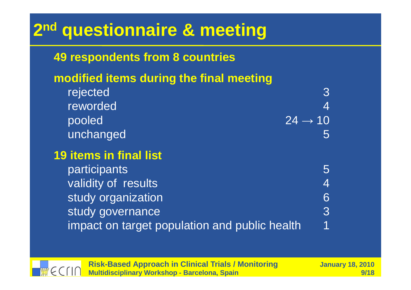# **2nd questionnaire & meeting**

## **49 respondents from 8 countries**

## **modified items during the final meeting**

rejected reworded3 4 $\rightarrow$  10 pooled 5unchanged**19 items in final list**

| participants                                  | $\mathcal{L}$ |
|-----------------------------------------------|---------------|
| validity of results                           |               |
| study organization                            |               |
| study governance                              | 3             |
| impact on target population and public health | $\mathbf 1$   |

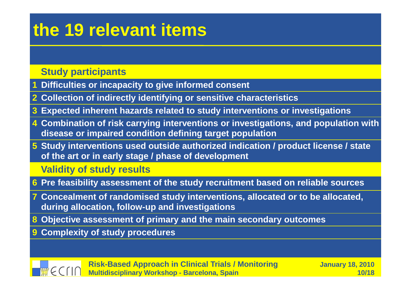## **the 19 relevant items**

#### **Study participants**

- **Difficulties or incapacity to give informed consent 1**
- **2 Collection of indirectly identifying or sensitive characteristics**
- **3Expected inherent hazards related to study interventions or investigations**
- **4 Combination of risk carrying interventions or investigations, and population with disease or impaired condition defining target population**
- **5 Study interventions used outside authorized indication / product license / state of the art or in early stage / phase of development**

#### **Validity of study results**

- **6 Pre feasibility assessment of the study recruitment based on reliable sources**
- **7 Concealment of randomised study interventions, allocated or to be allocated, during allocation, follow-up and investigations**
- **8 Objective assessment of primary and the main secondary outcomes**
- **9 Complexity of study procedures**

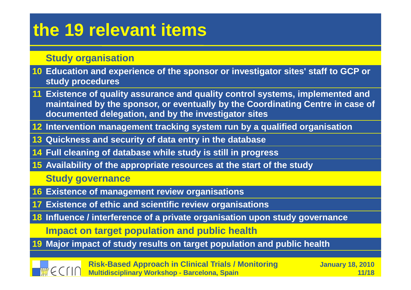## **the 19 relevant items**

#### **Study organisation**

- **10 Education and experience of the sponsor or investigator sites' staff to GCP or study procedures**
- **11 Existence of quality assurance and quality control systems, implemented and maintained by the sponsor, or eventually by the Coordinating Centre in case of documented delegation, and by the investigator sites**
- **12 Intervention management tracking system run by a qualified organisation**
- **13 Quickness and security of data entry in the databas e**
- **14 Full cleaning of database while study is still in progress**
- **15 Availability of the appropriate resources at the start of the study**

**Study governance**

- **16 Existence of management review organisations**
- **17 Existence of ethic and scientific review organisations**
- **18 Influence / interference of a private organisation upon study governance**

**Impact on target population and public health**

**19 Major impact of study results on target population and public health**



**Risk-Based Approach in Clinical Trials / MonitoringMultidisciplinary Workshop - Barcelona, Spain**

 **January 18, 2010 11/18**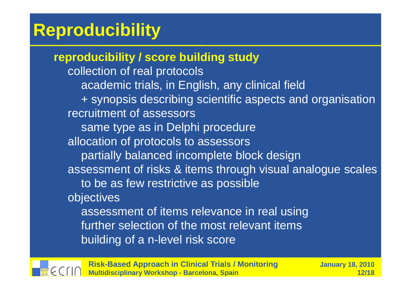## **Reproducibility**

**reproducibility / score building study**collection of real protocols academic trials, in English, any clinical field + synopsis describing scientific aspects and organisationrecruitment of assessors same type as in Delphi procedure allocation of protocols to assessors partially balanced incomplete block design assessment of risks & items through visual analogue scalesto be as few restrictive as possibleobjectives assessment of items relevance in real using further selection of the most relevant itemsbuilding of a n-level risk score

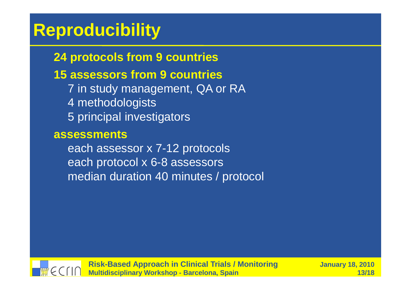## **Reproducibility**

## **24 protocols from 9 countries**

## **15 assessors from 9 countries**

 7 in study management, QA or RA4 methodologists5 principal investigators

#### **assessments**

 each assessor x 7-12 protocols each protocol x 6-8 assessorsmedian duration 40 minutes / protocol

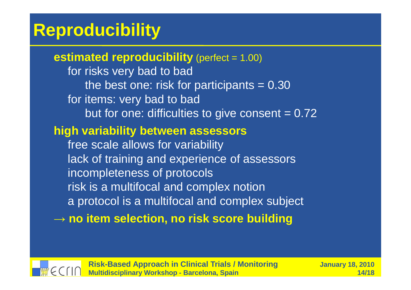## **Reproducibility**

**estimated reproducibility** (perfect = 1.00) for risks very bad to bad the best one: risk for participants = 0.30for items: very bad to badbut for one: difficulties to give consent  $= 0.72$ **high variability between assessors**free scale allows for variability lack of training and experience of assessorsincompleteness of protocols risk is a multifocal and complex notion a protocol is a multifocal and complex subject→ **no item selection, no risk score building**

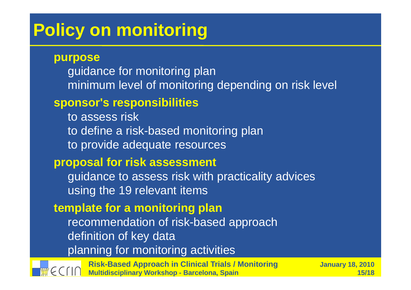## **Policy on monitoring**

#### **purpose**

 guidance for monitoring planminimum level of monitoring depending on risk level

### **sponsor's responsibilities**

to assess risk to define a risk-based monitoring planto provide adequate resources

### **proposal for risk assessment**

guidance to assess risk with practicality advicesusing the 19 relevant items

### **template for a monitoring plan**

 recommendation of risk-based approachdefinition of key dataplanning for monitoring activities

**Risk-Based Approach in Clinical Trials / MonitoringMultidisciplinary Workshop - Barcelona, Spain**

 **January 18, 2010 15/18**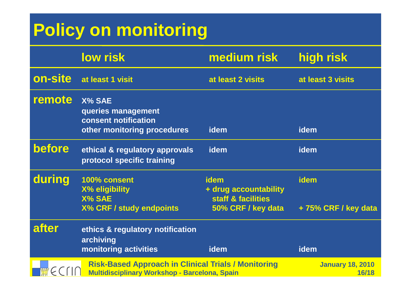# **Policy on monitoring**

|         | <b>low risk</b>                                                                                             | medium risk                                                               | high risk                          |
|---------|-------------------------------------------------------------------------------------------------------------|---------------------------------------------------------------------------|------------------------------------|
| on-site | at least 1 visit                                                                                            | at least 2 visits                                                         | at least 3 visits                  |
| remote  | X% SAE<br>queries management<br>consent notification<br>other monitoring procedures                         | <b>idem</b>                                                               | idem                               |
| before  | ethical & regulatory approvals<br>protocol specific training                                                | idem                                                                      | idem                               |
| during  | 100% consent<br><b>X% eligibility</b><br><b>X% SAE</b><br><b>X% CRF / study endpoints</b>                   | idem<br>+ drug accountability<br>staff & facilities<br>50% CRF / key data | <b>idem</b><br>+75% CRF / key data |
| after   | ethics & regulatory notification<br>archiving<br>monitoring activities                                      | idem                                                                      | idem                               |
|         | <b>Risk-Based Approach in Clinical Trials / Monitoring</b><br>Multidisciplinary Workshop - Barcelona, Spain |                                                                           | <b>January 18, 2010</b><br>16/18   |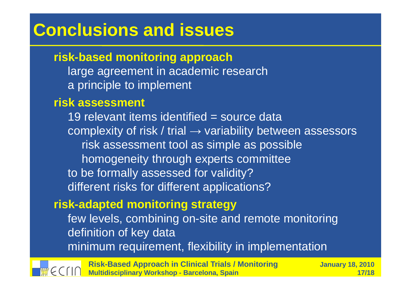## **Conclusions and issues**

### **risk-based monitoring approach**

 large agreement in academic research a principle to implement

#### **risk assessment**

19 relevant items identified = source data complexity of risk / trial → variability between assessors<br>Tisk assessment tool as simple as possible risk assessment tool as simple as possiblehomogeneity through experts committeeto be formally assessed for validity?different risks for different applications?

### **risk-adapted monitoring strategy**

 few levels, combining on-site and remote monitoringdefinition of key dataminimum requirement, flexibility in implementation



**Risk-Based Approach in Clinical Trials / MonitoringMultidisciplinary Workshop - Barcelona, Spain**

 **January 18, 2010 17/18**